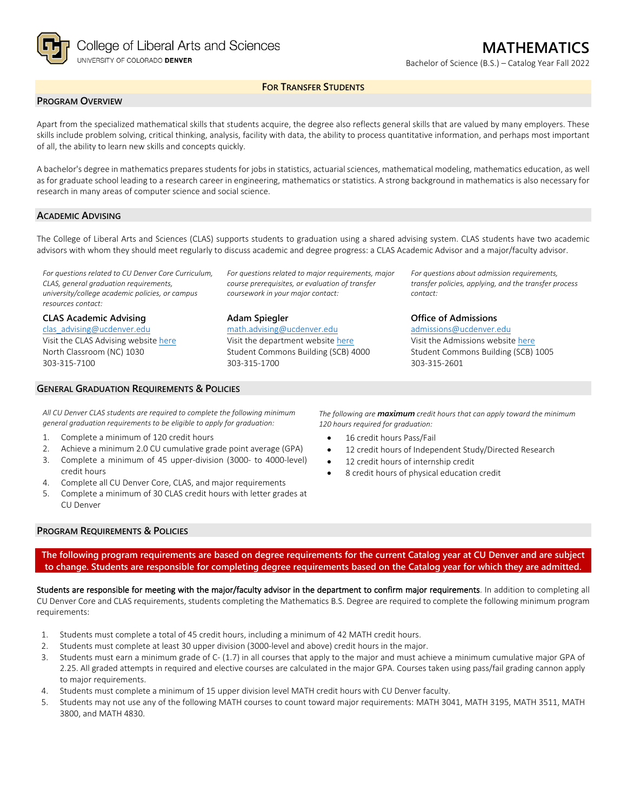

Bachelor of Science (B.S.) – Catalog Year Fall 2022

# **FOR TRANSFER STUDENTS**

## **PROGRAM OVERVIEW**

Apart from the specialized mathematical skills that students acquire, the degree also reflects general skills that are valued by many employers. These skills include problem solving, critical thinking, analysis, facility with data, the ability to process quantitative information, and perhaps most important of all, the ability to learn new skills and concepts quickly.

A bachelor's degree in mathematics prepares students for jobs in statistics, actuarial sciences, mathematical modeling, mathematics education, as well as for graduate school leading to a research career in engineering, mathematics or statistics. A strong background in mathematics is also necessary for research in many areas of computer science and social science.

### **ACADEMIC ADVISING**

The College of Liberal Arts and Sciences (CLAS) supports students to graduation using a shared advising system. CLAS students have two academic advisors with whom they should meet regularly to discuss academic and degree progress: a CLAS Academic Advisor and a major/faculty advisor.

*For questions related to CU Denver Core Curriculum, CLAS, general graduation requirements, university/college academic policies, or campus resources contact:*

### **CLAS Academic Advising**

[clas\\_advising@ucdenver.edu](mailto:clas_advising@ucdenver.edu) Visit the CLAS Advising websit[e here](https://clas.ucdenver.edu/advising/) North Classroom (NC) 1030 303-315-7100

*For questions related to major requirements, major course prerequisites, or evaluation of transfer coursework in your major contact:*

### **Adam Spiegler**

[math.advising@ucdenver.edu](mailto:math.advising@ucdenver.edu) Visit the department website [here](https://clas.ucdenver.edu/mathematical-and-statistical-sciences/) Student Commons Building (SCB) 4000 303-315-1700

*For questions about admission requirements, transfer policies, applying, and the transfer process contact:*

### **Office of Admissions**

[admissions@ucdenver.edu](mailto:admissions@ucdenver.edu) Visit the Admissions website [here](http://www.ucdenver.edu/admissions/Pages/index.aspx) Student Commons Building (SCB) 1005 303-315-2601

#### **GENERAL GRADUATION REQUIREMENTS & POLICIES**

*All CU Denver CLAS students are required to complete the following minimum general graduation requirements to be eligible to apply for graduation:*

- 1. Complete a minimum of 120 credit hours
- 2. Achieve a minimum 2.0 CU cumulative grade point average (GPA) 3. Complete a minimum of 45 upper-division (3000- to 4000-level)
- credit hours
- 4. Complete all CU Denver Core, CLAS, and major requirements
- 5. Complete a minimum of 30 CLAS credit hours with letter grades at CU Denver

*The following are maximum credit hours that can apply toward the minimum 120 hours required for graduation:*

- 16 credit hours Pass/Fail
- 12 credit hours of Independent Study/Directed Research
- 12 credit hours of internship credit
- 8 credit hours of physical education credit

# **PROGRAM REQUIREMENTS & POLICIES**

**The following program requirements are based on degree requirements for the current Catalog year at CU Denver and are subject to change. Students are responsible for completing degree requirements based on the Catalog year for which they are admitted.**

Students are responsible for meeting with the major/faculty advisor in the department to confirm major requirements. In addition to completing all CU Denver Core and CLAS requirements, students completing the Mathematics B.S. Degree are required to complete the following minimum program requirements:

- 1. Students must complete a total of 45 credit hours, including a minimum of 42 MATH credit hours.
- 2. Students must complete at least 30 upper division (3000-level and above) credit hours in the major.
- 3. Students must earn a minimum grade of C- (1.7) in all courses that apply to the major and must achieve a minimum cumulative major GPA of 2.25. All graded attempts in required and elective courses are calculated in the major GPA. Courses taken using pass/fail grading cannon apply to major requirements.
- 4. Students must complete a minimum of 15 upper division level MATH credit hours with CU Denver faculty.
- 5. Students may not use any of the following MATH courses to count toward major requirements: MATH 3041, MATH 3195, MATH 3511, MATH 3800, and MATH 4830.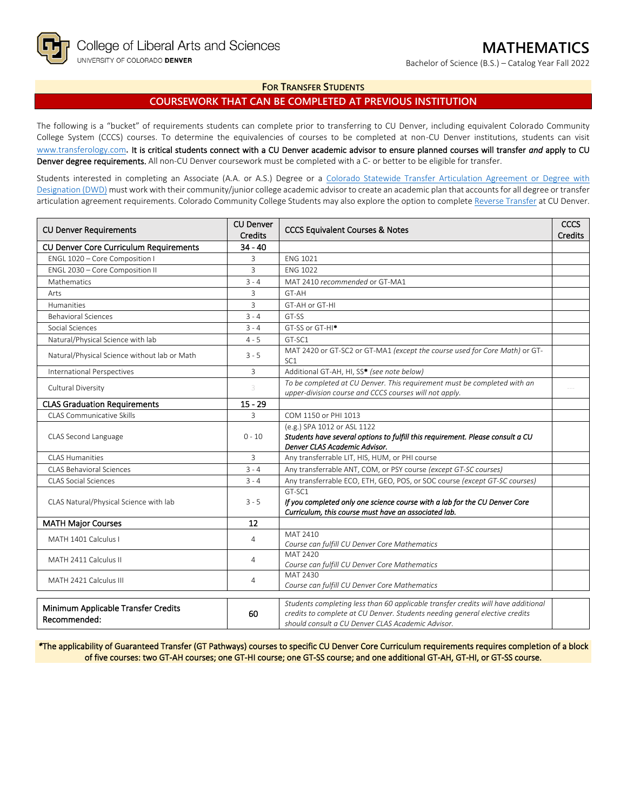Bachelor of Science (B.S.) – Catalog Year Fall 2022

## **FOR TRANSFER STUDENTS**

# **COURSEWORK THAT CAN BE COMPLETED AT PREVIOUS INSTITUTION**

The following is a "bucket" of requirements students can complete prior to transferring to CU Denver, including equivalent Colorado Community College System (CCCS) courses. To determine the equivalencies of courses to be completed at non-CU Denver institutions, students can visit [www.transferology.com](http://www.transferology.com/)**.** It is critical students connect with a CU Denver academic advisor to ensure planned courses will transfer *and* apply to CU Denver degree requirements. All non-CU Denver coursework must be completed with a C- or better to be eligible for transfer.

Students interested in completing an Associate (A.A. or A.S.) Degree or a Colorado Statewide Transfer Articulation Agreement or Degree with [Designation \(DWD\)](https://highered.colorado.gov/transfer-degrees) must work with their community/junior college academic advisor to create an academic plan that accounts for all degree or transfer articulation agreement requirements. Colorado Community College Students may also explore the option to complet[e Reverse Transfer](https://highered.colorado.gov/students/attending-college/colorado-reverse-transfer) at CU Denver.

| <b>CU Denver Requirements</b>                       | <b>CU Denver</b><br><b>Credits</b> | <b>CCCS Equivalent Courses &amp; Notes</b>                                                                                                                                                                            |  |
|-----------------------------------------------------|------------------------------------|-----------------------------------------------------------------------------------------------------------------------------------------------------------------------------------------------------------------------|--|
| <b>CU Denver Core Curriculum Requirements</b>       | $34 - 40$                          |                                                                                                                                                                                                                       |  |
| ENGL 1020 - Core Composition I                      | 3                                  | <b>FNG 1021</b>                                                                                                                                                                                                       |  |
| ENGL 2030 - Core Composition II                     | $\overline{3}$                     | <b>FNG 1022</b>                                                                                                                                                                                                       |  |
| Mathematics                                         | $3 - 4$                            | MAT 2410 recommended or GT-MA1                                                                                                                                                                                        |  |
| Arts                                                | 3                                  | GT-AH                                                                                                                                                                                                                 |  |
| <b>Humanities</b>                                   | $\overline{3}$                     | GT-AH or GT-HI                                                                                                                                                                                                        |  |
| <b>Behavioral Sciences</b>                          | $3 - 4$                            | GT-SS                                                                                                                                                                                                                 |  |
| Social Sciences                                     | $3 - 4$                            | GT-SS or GT-HI <sup>*</sup>                                                                                                                                                                                           |  |
| Natural/Physical Science with lab                   | $4 - 5$                            | GT-SC1                                                                                                                                                                                                                |  |
| Natural/Physical Science without lab or Math        | $3 - 5$                            | MAT 2420 or GT-SC2 or GT-MA1 (except the course used for Core Math) or GT-<br>SC <sub>1</sub>                                                                                                                         |  |
| <b>International Perspectives</b>                   | 3                                  | Additional GT-AH, HI, SS* (see note below)                                                                                                                                                                            |  |
| Cultural Diversity                                  | 3                                  | To be completed at CU Denver. This requirement must be completed with an<br>upper-division course and CCCS courses will not apply.                                                                                    |  |
| <b>CLAS Graduation Requirements</b>                 | $15 - 29$                          |                                                                                                                                                                                                                       |  |
| CLAS Communicative Skills                           | $\overline{3}$                     | COM 1150 or PHI 1013                                                                                                                                                                                                  |  |
| CLAS Second Language                                | $0 - 10$                           | (e.g.) SPA 1012 or ASL 1122<br>Students have several options to fulfill this requirement. Please consult a CU<br>Denver CLAS Academic Advisor.                                                                        |  |
| CLAS Humanities                                     | $\overline{3}$                     | Any transferrable LIT, HIS, HUM, or PHI course                                                                                                                                                                        |  |
| <b>CLAS Behavioral Sciences</b>                     | $3 - 4$                            | Any transferrable ANT, COM, or PSY course (except GT-SC courses)                                                                                                                                                      |  |
| <b>CLAS Social Sciences</b>                         | $3 - 4$                            | Any transferrable ECO, ETH, GEO, POS, or SOC course (except GT-SC courses)                                                                                                                                            |  |
| CLAS Natural/Physical Science with lab              | $3 - 5$                            | GT-SC1<br>If you completed only one science course with a lab for the CU Denver Core<br>Curriculum, this course must have an associated lab.                                                                          |  |
| <b>MATH Major Courses</b>                           | 12                                 |                                                                                                                                                                                                                       |  |
| MATH 1401 Calculus I                                | $\overline{4}$                     | MAT 2410<br>Course can fulfill CU Denver Core Mathematics                                                                                                                                                             |  |
| MATH 2411 Calculus II                               | 4                                  | MAT 2420<br>Course can fulfill CU Denver Core Mathematics                                                                                                                                                             |  |
| MATH 2421 Calculus III                              | 4                                  | MAT 2430<br>Course can fulfill CU Denver Core Mathematics                                                                                                                                                             |  |
| Minimum Applicable Transfer Credits<br>Recommended: | 60                                 | Students completing less than 60 applicable transfer credits will have additional<br>credits to complete at CU Denver. Students needing general elective credits<br>should consult a CU Denver CLAS Academic Advisor. |  |

*\**The applicability of Guaranteed Transfer (GT Pathways) courses to specific CU Denver Core Curriculum requirements requires completion of a block of five courses: two GT-AH courses; one GT-HI course; one GT-SS course; and one additional GT-AH, GT-HI, or GT-SS course.